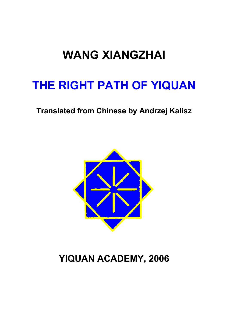# **WANG XIANGZHAI**

# **THE RIGHT PATH OF YIQUAN**

### **Translated from Chinese by Andrzej Kalisz**



## **YIQUAN ACADEMY, 2006**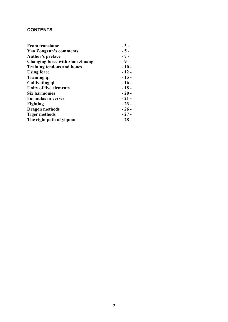#### **CONTENTS**

| <b>From translator</b>            | $-3-$  |
|-----------------------------------|--------|
| <b>Yao Zongxun's comments</b>     | $-5-$  |
| <b>Author's preface</b>           | $-7-$  |
| Changing force with zhan zhuang   | $-9-$  |
| <b>Training tendons and bones</b> | $-10-$ |
| <b>Using force</b>                | $-12-$ |
| Training qi                       | $-15-$ |
| Cultivating qi                    | $-16-$ |
| Unity of five elements            | $-18-$ |
| <b>Six harmonies</b>              | $-20-$ |
| <b>Formulas in verses</b>         | $-21-$ |
| <b>Fighting</b>                   | $-23-$ |
| <b>Dragon methods</b>             | $-26-$ |
| <b>Tiger methods</b>              | $-27-$ |
| The right path of yiquan          | $-28-$ |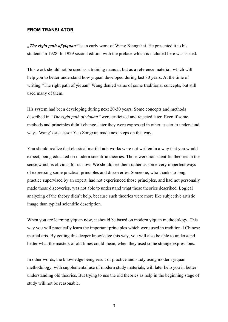#### **FROM TRANSLATOR**

*"The right path of yiquan"* is an early work of Wang Xiangzhai. He presented it to his students in 1928. In 1929 second edition with the preface which is included here was issued.

This work should not be used as a training manual, but as a reference material, which will help you to better understand how yiquan developed during last 80 years. At the time of writing "The right path of yiquan" Wang denied value of some traditional concepts, but still used many of them.

His system had been developing during next 20-30 years. Some concepts and methods described in *"The right path of yiquan"* were criticized and rejected later. Even if some methods and principles didn't change, later they were expressed in other, easier to understand ways. Wang's successor Yao Zongxun made next steps on this way.

You should realize that classical martial arts works were not written in a way that you would expect, being educated on modern scientific theories. Those were not scientific theories in the sense which is obvious for us now. We should see them rather as some very imperfect ways of expressing some practical principles and discoveries. Someone, who thanks to long practice supervised by an expert, had not experienced those principles, and had not personally made those discoveries, was not able to understand what those theories described. Logical analyzing of the theory didn't help, because such theories were more like subjective artistic image than typical scientific description.

When you are learning yiquan now, it should be based on modern yiquan methodology. This way you will practically learn the important principles which were used in traditional Chinese martial arts. By getting this deeper knowledge this way, you will also be able to understand better what the masters of old times could mean, when they used some strange expressions.

In other words, the knowledge being result of practice and study using modern yiquan methodology, with supplemental use of modern study materials, will later help you in better understanding old theories. But trying to use the old theories as help in the beginning stage of study will not be reasonable.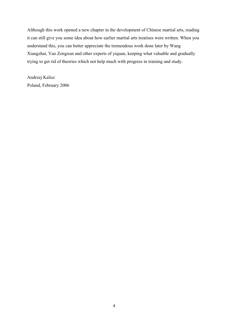Although this work opened a new chapter in the development of Chinese martial arts, reading it can still give you some idea about how earlier martial arts treatises were written. When you understand this, you can better appreciate the tremendous work done later by Wang Xiangzhai, Yao Zongxun and other experts of yiquan, keeping what valuable and gradually trying to get rid of theories which not help much with progress in training and study.

Andrzej Kalisz Poland, February 2006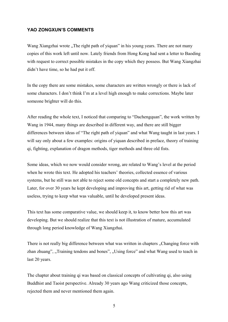#### **YAO ZONGXUN'S COMMENTS**

Wang Xiangzhai wrote "The right path of yiquan" in his young years. There are not many copies of this work left until now. Lately friends from Hong Kong had sent a letter to Baoding with request to correct possible mistakes in the copy which they possess. But Wang Xiangzhai didn't have time, so he had put it off.

In the copy there are some mistakes, some characters are written wrongly or there is lack of some characters. I don't think I'm at a level high enough to make corrections. Maybe later someone brighter will do this.

After reading the whole text, I noticed that comparing to "Dachengquan", the work written by Wang in 1944, many things are described in different way, and there are still bigger differences between ideas of "The right path of yiquan" and what Wang taught in last years. I will say only about a few examples: origins of yiquan described in preface, theory of training qi, fighting, explanation of dragon methods, tiger methods and three old fists.

Some ideas, which we now would consider wrong, are related to Wang's level at the period when he wrote this text. He adopted his teachers' theories, collected essence of various systems, but he still was not able to reject some old concepts and start a completely new path. Later, for over 30 years he kept developing and improving this art, getting rid of what was useless, trying to keep what was valuable, until he developed present ideas.

This text has some comparative value, we should keep it, to know better how this art was developing. But we should realize that this text is not illustration of mature, accumulated through long period knowledge of Wang Xiangzhai.

There is not really big difference between what was written in chapters . Changing force with zhan zhuang", "Training tendons and bones", "Using force" and what Wang used to teach in last 20 years.

The chapter about training qi was based on classical concepts of cultivating qi, also using Buddhist and Taoist perspective. Already 30 years ago Wang criticized those concepts, rejected them and never mentioned them again.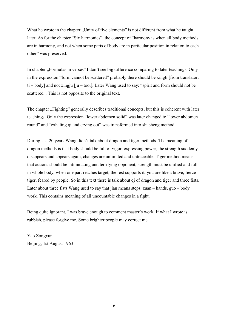What he wrote in the chapter "Unity of five elements" is not different from what he taught later. As for the chapter "Six harmonies", the concept of "harmony is when all body methods are in harmony, and not when some parts of body are in particular position in relation to each other" was preserved.

In chapter "Formulas in verses" I don't see big difference comparing to later teachings. Only in the expression "form cannot be scattered" probably there should be xingti [from translator: ti – body] and not xingju [ju – tool]. Later Wang used to say: "spirit and form should not be scattered". This is not opposite to the original text.

The chapter "Fighting" generally describes traditional concepts, but this is coherent with later teachings. Only the expression "lower abdomen solid" was later changed to "lower abdomen round" and "exhaling qi and crying out" was transformed into shi sheng method.

During last 20 years Wang didn't talk about dragon and tiger methods. The meaning of dragon methods is that body should be full of vigor, expressing power, the strength suddenly disappears and appears again, changes are unlimited and untraceable. Tiger method means that actions should be intimidating and terrifying opponent, strength must be unified and full in whole body, when one part reaches target, the rest supports it, you are like a brave, fierce tiger, feared by people. So in this text there is talk about qi of dragon and tiger and three fists. Later about three fists Wang used to say that jian means steps, zuan – hands, guo – body work. This contains meaning of all uncountable changes in a fight.

Being quite ignorant, I was brave enough to comment master's work. If what I wrote is rubbish, please forgive me. Some brighter people may correct me.

Yao Zongxun Beijing, 1st August 1963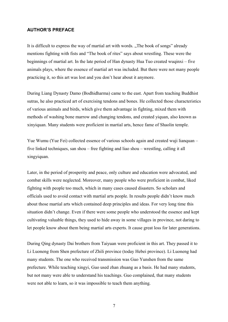#### **AUTHOR'S PREFACE**

It is difficult to express the way of martial art with words. "The book of songs" already mentions fighting with fists and "The book of rites" says about wrestling. These were the beginnings of martial art. In the late period of Han dynasty Hua Tuo created wuqinxi – five animals plays, where the essence of martial art was included. But there were not many people practicing it, so this art was lost and you don't hear about it anymore.

During Liang Dynasty Damo (Bodhidharma) came to the east. Apart from teaching Buddhist sutras, he also practiced art of exercising tendons and bones. He collected those characteristics of various animals and birds, which give them advantage in fighting, mixed them with methods of washing bone marrow and changing tendons, and created yiquan, also known as xinyiquan. Many students were proficient in martial arts, hence fame of Shaolin temple.

Yue Wumu (Yue Fei) collected essence of various schools again and created wuji lianquan – five linked techniques, san shou – free fighting and liao shou – wrestling, calling it all xingyiquan.

Later, in the period of prosperity and peace, only culture and education were advocated, and combat skills were neglected. Moreover, many people who were proficient in combat, liked fighting with people too much, which in many cases caused disasters. So scholars and officials used to avoid contact with martial arts people. In results people didn't know much about those martial arts which contained deep principles and ideas. For very long time this situation didn't change. Even if there were some people who understood the essence and kept cultivating valuable things, they used to hide away in some villages in province, not daring to let people know about them being martial arts experts. It cause great loss for later generations.

During Qing dynasty Dai brothers from Taiyuan were proficient in this art. They passed it to Li Luoneng from Shen prefecture of Zhili province (today Hebei province). Li Luoneng had many students. The one who received transmission was Guo Yunshen from the same prefecture. While teaching xingyi, Guo used zhan zhuang as a basis. He had many students, but not many were able to understand his teachings. Guo complained, that many students were not able to learn, so it was impossible to teach them anything.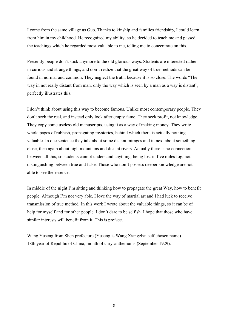I come from the same village as Guo. Thanks to kinship and families friendship, I could learn from him in my childhood. He recognized my ability, so he decided to teach me and passed the teachings which he regarded most valuable to me, telling me to concentrate on this.

Presently people don't stick anymore to the old glorious ways. Students are interested rather in curious and strange things, and don't realize that the great way of true methods can be found in normal and common. They neglect the truth, because it is so close. The words "The way in not really distant from man, only the way which is seen by a man as a way is distant", perfectly illustrates this.

I don't think about using this way to become famous. Unlike most contemporary people. They don't seek the real, and instead only look after empty fame. They seek profit, not knowledge. They copy some useless old manuscripts, using it as a way of making money. They write whole pages of rubbish, propagating mysteries, behind which there is actually nothing valuable. In one sentence they talk about some distant mirages and in next about something close, then again about high mountains and distant rivers. Actually there is no connection between all this, so students cannot understand anything, being lost in five miles fog, not distinguishing between true and false. Those who don't possess deeper knowledge are not able to see the essence.

In middle of the night I'm sitting and thinking how to propagate the great Way, how to benefit people. Although I'm not very able, I love the way of martial art and I had luck to receive transmission of true method. In this work I wrote about the valuable things, so it can be of help for myself and for other people. I don't dare to be selfish. I hope that those who have similar interests will benefit from it. This is preface.

Wang Yuseng from Shen prefecture (Yuseng is Wang Xiangzhai self chosen name) 18th year of Republic of China, month of chrysanthemums (September 1929).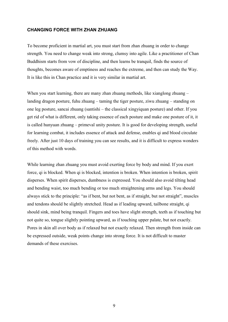#### **CHANGING FORCE WITH ZHAN ZHUANG**

To become proficient in martial art, you must start from zhan zhuang in order to change strength. You need to change weak into strong, clumsy into agile. Like a practitioner of Chan Buddhism starts from vow of discipline, and then learns be tranquil, finds the source of thoughts, becomes aware of emptiness and reaches the extreme, and then can study the Way. It is like this in Chan practice and it is very similar in martial art.

When you start learning, there are many zhan zhuang methods, like xianglong zhuang – landing dragon posture, fuhu zhuang – taming the tiger posture, ziwu zhuang – standing on one leg posture, sancai zhuang (santishi – the classical xingyiquan posture) and other. If you get rid of what is different, only taking essence of each posture and make one posture of it, it is called hunyuan zhuang – primeval unity posture. It is good for developing strength, useful for learning combat, it includes essence of attack and defense, enables qi and blood circulate freely. After just 10 days of training you can see results, and it is difficult to express wonders of this method with words.

While learning zhan zhuang you must avoid exerting force by body and mind. If you exert force, qi is blocked. When qi is blocked, intention is broken. When intention is broken, spirit disperses. When spirit disperses, dumbness is expressed. You should also avoid tilting head and bending waist, too much bending or too much straightening arms and legs. You should always stick to the principle: "as if bent, but not bent, as if straight, but not straight", muscles and tendons should be slightly stretched. Head as if leading upward, tailbone straight, qi should sink, mind being tranquil. Fingers and toes have slight strength, teeth as if touching but not quite so, tongue slightly pointing upward, as if touching upper palate, but not exactly. Pores in skin all over body as if relaxed but not exactly relaxed. Then strength from inside can be expressed outside, weak points change into strong force. It is not difficult to master demands of these exercises.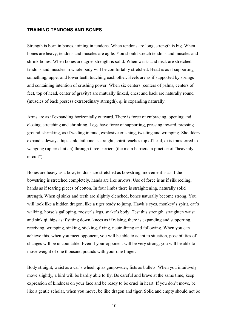#### **TRAINING TENDONS AND BONES**

Strength is born in bones, joining in tendons. When tendons are long, strength is big. When bones are heavy, tendons and muscles are agile. You should stretch tendons and muscles and shrink bones. When bones are agile, strength is solid. When wrists and neck are stretched, tendons and muscles in whole body will be comfortably stretched. Head is as if supporting something, upper and lower teeth touching each other. Heels are as if supported by springs and containing intention of crushing power. When six centers (centers of palms, centers of feet, top of head, center of gravity) are mutually linked, chest and back are naturally round (muscles of back possess extraordinary strength), qi is expanding naturally.

Arms are as if expanding horizontally outward. There is force of embracing, opening and closing, stretching and shrinking. Legs have force of supporting, pressing inward, pressing ground, shrinking, as if wading in mud, explosive crushing, twisting and wrapping. Shoulders expand sideways, hips sink, tailbone is straight, spirit reaches top of head, qi is transferred to wangong (upper dantian) through three barriers (the main barriers in practice of "heavenly circuit").

Bones are heavy as a bow, tendons are stretched as bowstring, movement is as if the bowstring is stretched completely, hands are like arrows. Use of force is as if silk reeling, hands as if tearing pieces of cotton. In four limbs there is straightening, naturally solid strength. When qi sinks and teeth are slightly clenched, bones naturally become strong. You will look like a hidden dragon, like a tiger ready to jump. Hawk's eyes, monkey's spirit, cat's walking, horse's galloping, rooster's legs, snake's body. Test this strength, straighten waist and sink qi, hips as if sitting down, knees as if raising, there is expanding and supporting, receiving, wrapping, sinking, sticking, fixing, neutralizing and following. When you can achieve this, when you meet opponent, you will be able to adapt to situation, possibilities of changes will be uncountable. Even if your opponent will be very strong, you will be able to move weight of one thousand pounds with your one finger.

Body straight, waist as a car's wheel, qi as gunpowder, fists as bullets. When you intuitively move slightly, a bird will be hardly able to fly. Be careful and brave at the same time, keep expression of kindness on your face and be ready to be cruel in heart. If you don't move, be like a gentle scholar, when you move, be like dragon and tiger. Solid and empty should not be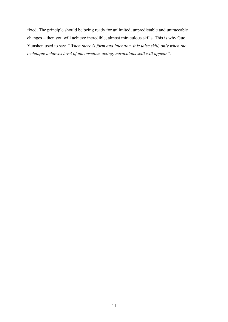fixed. The principle should be being ready for unlimited, unpredictable and untraceable changes – then you will achieve incredible, almost miraculous skills. This is why Guo Yunshen used to say: *"When there is form and intention, it is false skill, only when the technique achieves level of unconscious acting, miraculous skill will appear"*.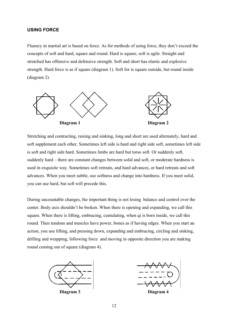#### **USING FORCE**

Fluency in martial art is based on force. As for methods of using force, they don't exceed the concepts of soft and hard, square and round. Hard is square, soft is agile. Straight and stretched has offensive and defensive strength. Soft and short has elastic and explosive strength. Hard force is as if square (diagram 1). Soft for is square outside, but round inside (diagram 2).



Stretching and contracting, raising and sinking, long and short are used alternately, hard and soft supplement each other. Sometimes left side is hard and right side soft, sometimes left side is soft and right side hard. Sometimes limbs are hard but torso soft. Or suddenly soft, suddenly hard – there are constant changes between solid and soft, or moderate hardness is used in exquisite way. Sometimes soft retreats, and hard advances, or hard retreats and soft advances. When you meet subtle, use softness and change into hardness. If you meet solid, you can use hard, but soft will precede this.

During uncountable changes, the important thing is not losing balance and control over the center. Body axis shouldn't be broken. When there is opening and expanding, we call this square. When there is lifting, embracing, cumulating, when qi is born inside, we call this round. Then tendons and muscles have power, bones as if having edges. When you start an action, you use lifting, and pressing down, expanding and embracing, circling and sinking, drilling and wrapping, following force and moving in opposite direction you are making round coming out of square (diagram 4).



**Diagram 3 Diagram 4**

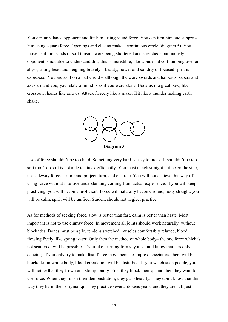You can unbalance opponent and lift him, using round force. You can turn him and suppress him using square force. Openings and closing make a continuous circle (diagram 5). You move as if thousands of soft threads were being shortened and stretched continuously – opponent is not able to understand this, this is incredible, like wonderful colt jumping over an abyss, tilting head and neighing bravely – beauty, power and solidity of focused spirit is expressed. You are as if on a battlefield – although there are swords and halberds, sabers and axes around you, your state of mind is as if you were alone. Body as if a great bow, like crossbow, hands like arrows. Attack fiercely like a snake. Hit like a thunder making earth shake.



Use of force shouldn't be too hard. Something very hard is easy to break. It shouldn't be too soft too. Too soft is not able to attack efficiently. You must attack straight but be on the side, use sideway force, absorb and project, turn, and encircle. You will not achieve this way of using force without intuitive understanding coming from actual experience. If you will keep practicing, you will become proficient. Force will naturally become round, body straight, you will be calm, spirit will be unified. Student should not neglect practice.

As for methods of seeking force, slow is better than fast, calm is better than haste. Most important is not to use clumsy force. In movement all joints should work naturally, without blockades. Bones must be agile, tendons stretched, muscles comfortably relaxed, blood flowing freely, like spring water. Only then the method of whole body– the one force which is not scattered, will be possible. If you like learning forms, you should know that it is only dancing. If you only try to make fast, fierce movements to impress spectators, there will be blockades in whole body, blood circulation will be disturbed. If you watch such people, you will notice that they frown and stomp loudly. First they block their qi, and then they want to use force. When they finish their demonstration, they gasp heavily. They don't know that this way they harm their original qi. They practice several dozens years, and they are still just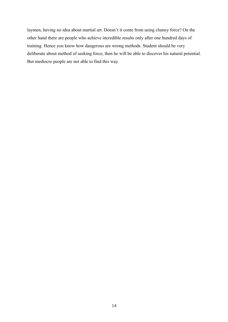laymen, having no idea about martial art. Doesn't it come from using clumsy force? On the other hand there are people who achieve incredible results only after one hundred days of training. Hence you know how dangerous are wrong methods. Student should be very deliberate about method of seeking force, then he will be able to discover his natural potential. But mediocre people are not able to find this way.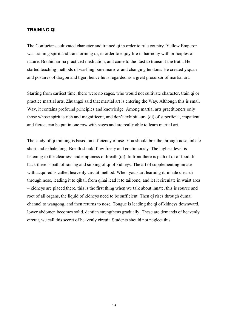#### **TRAINING QI**

The Confucians cultivated character and trained qi in order to rule country. Yellow Emperor was training spirit and transforming qi, in order to enjoy life in harmony with principles of nature. Bodhidharma practiced meditation, and came to the East to transmit the truth. He started teaching methods of washing bone marrow and changing tendons. He created yiquan and postures of dragon and tiger, hence he is regarded as a great precursor of martial art.

Starting from earliest time, there were no sages, who would not cultivate character, train qi or practice martial arts. Zhuangzi said that martial art is entering the Way. Although this is small Way, it contains profound principles and knowledge. Among martial arts practitioners only those whose spirit is rich and magnificent, and don't exhibit aura (qi) of superficial, impatient and fierce, can be put in one row with sages and are really able to learn martial art.

The study of qi training is based on efficiency of use. You should breathe through nose, inhale short and exhale long. Breath should flow freely and continuously. The highest level is listening to the clearness and emptiness of breath (qi). In front there is path of qi of food. In back there is path of raising and sinking of qi of kidneys. The art of supplementing innate with acquired is called heavenly circuit method. When you start learning it, inhale clear qi through nose, leading it to qihai, from qihai lead it to tailbone, and let it circulate in waist area – kidneys are placed there, this is the first thing when we talk about innate, this is source and root of all organs, the liquid of kidneys need to be sufficient. Then qi rises through dumai channel to wangong, and then returns to nose. Tongue is leading the qi of kidneys downward, lower abdomen becomes solid, dantian strengthens gradually. These are demands of heavenly circuit, we call this secret of heavenly circuit. Students should not neglect this.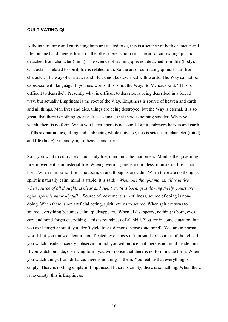#### **CULTIVATING QI**

Although training and cultivating both are related to qi, this is a science of both character and life, on one hand there is form, on the other there is no form. The art of cultivating qi is not detached from character (mind). The science of training qi is not detached from life (body). Character is related to spirit, life is related to qi. So the art of cultivating qi must start from character. The way of character and life cannot be described with words. The Way cannot be expressed with language. If you use words, this is not the Way. So Mencius said: "This is difficult to describe". Presently what is difficult to describe is being described in a forced way, but actually Emptiness is the root of the Way. Emptiness is source of heaven and earth and all things. Man lives and dies, things are being destroyed, but the Way is eternal. It is so great, that there is nothing greater. It is so small, that there is nothing smaller. When you watch, there is no form. When you listen, there is no sound. But it embraces heaven and earth, it fills six harmonies, filling and embracing whole universe, this is science of character (mind) and life (body), yin and yang of heaven and earth.

So if you want to cultivate qi and study life, mind must be motionless. Mind is the governing fire, movement is ministerial fire. When governing fire is motionless, ministerial fire is not born. When ministerial fire is not born, qi and thoughts are calm. When there are no thoughts, spirit is naturally calm, mind is stable. It is said: *"When one thought moves, all is in fire, when source of all thoughts is clear and silent, truth is born, qi is flowing freely, joints are agile, spirit is naturally full"*. Source of movement is in stillness, source of doing is nondoing. When there is not artificial acting, spirit returns to source. When spirit returns to source, everything becomes calm, qi disappears. When qi disappears, nothing is born, eyes, ears and mind forget everything – this is roundness of all skill. You are in some situation, but you as if forget about it, you don't yield to six demons (senses and mind). You are in normal world, but you transcendent it, not affected by changes of thousands of sources of thoughts. If you watch inside sincerely , observing mind, you will notice that there is no mind inside mind. If you watch outside, observing form, you will notice that there is no form inside form. When you watch things from distance, there is no thing in them. You realize that everything is empty. There is nothing empty in Emptiness. If there is empty, there is something. When there is no empty, this is Emptiness.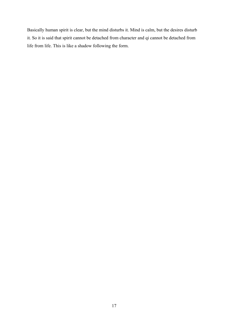Basically human spirit is clear, but the mind disturbs it. Mind is calm, but the desires disturb it. So it is said that spirit cannot be detached from character and qi cannot be detached from life from life. This is like a shadow following the form.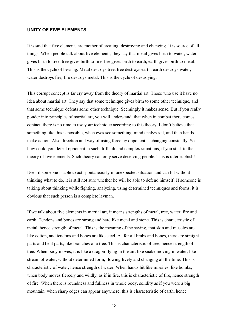#### **UNITY OF FIVE ELEMENTS**

It is said that five elements are mother of creating, destroying and changing. It is source of all things. When people talk about five elements, they say that metal gives birth to water, water gives birth to tree, tree gives birth to fire, fire gives birth to earth, earth gives birth to metal. This is the cycle of bearing. Metal destroys tree, tree destroys earth, earth destroys water, water destroys fire, fire destroys metal. This is the cycle of destroying.

This corrupt concept is far cry away from the theory of martial art. Those who use it have no idea about martial art. They say that some technique gives birth to some other technique, and that some technique defeats some other technique. Seemingly it makes sense. But if you really ponder into principles of martial art, you will understand, that when in combat there comes contact, there is no time to use your technique according to this theory. I don't believe that something like this is possible, when eyes see something, mind analyzes it, and then hands make action. Also direction and way of using force by opponent is changing constantly. So how could you defeat opponent in such difficult and complex situations, if you stick to the theory of five elements. Such theory can only serve deceiving people. This is utter rubbish!

Even if someone is able to act spontaneously in unexpected situation and can hit without thinking what to do, it is still not sure whether he will be able to defend himself! If someone is talking about thinking while fighting, analyzing, using determined techniques and forms, it is obvious that such person is a complete layman.

If we talk about five elements in martial art, it means strengths of metal, tree, water, fire and earth. Tendons and bones are strong and hard like metal and stone. This is characteristic of metal, hence strength of metal. This is the meaning of the saying, that skin and muscles are like cotton, and tendons and bones are like steel. As for all limbs and bones, there are straight parts and bent parts, like branches of a tree. This is characteristic of tree, hence strength of tree. When body moves, it is like a dragon flying in the air, like snake moving in water, like stream of water, without determined form, flowing lively and changing all the time. This is characteristic of water, hence strength of water. When hands hit like missiles, like bombs, when body moves fiercely and wildly, as if in fire, this is characteristic of fire, hence strength of fire. When there is roundness and fullness in whole body, solidity as if you were a big mountain, when sharp edges can appear anywhere, this is characteristic of earth, hence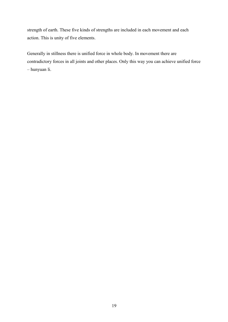strength of earth. These five kinds of strengths are included in each movement and each action. This is unity of five elements.

Generally in stillness there is unified force in whole body. In movement there are contradictory forces in all joints and other places. Only this way you can achieve unified force – hunyuan li.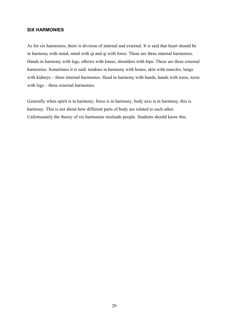#### **SIX HARMONIES**

As for six harmonies, there is division of internal and external. It is said that heart should be in harmony with mind, mind with qi and qi with force. These are three internal harmonies. Hands in harmony with legs, elbows with knees, shoulders with hips. These are three external harmonies. Sometimes it is said: tendons in harmony with bones, skin with muscles, lungs with kidneys – three internal harmonies. Head in harmony with hands, hands with torso, torso with legs – three external harmonies.

Generally when spirit is in harmony, force is in harmony, body axis is in harmony, this is harmony. This is not about how different parts of body are related to each other. Unfortunately the theory of six harmonies misleads people. Students should know this.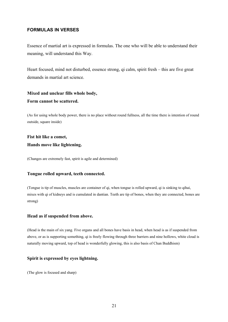#### **FORMULAS IN VERSES**

Essence of martial art is expressed in formulas. The one who will be able to understand their meaning, will understand this Way.

Heart focused, mind not disturbed, essence strong, qi calm, spirit fresh – this are five great demands in martial art science.

#### **Mixed and unclear fills whole body, Form cannot be scattered.**

(As for using whole body power, there is no place without round fullness, all the time there is intention of round outside, square inside)

#### **Fist hit like a comet, Hands move like lightening.**

(Changes are extremely fast, spirit is agile and determined)

#### **Tongue rolled upward, teeth connected.**

(Tongue is tip of muscles, muscles are container of qi, when tongue is rolled upward, qi is sinking to qihai, mixes with qi of kidneys and is cumulated in dantian. Teeth are tip of bones, when they are connected, bones are strong)

#### **Head as if suspended from above.**

(Head is the main of six yang. Five organs and all bones have basis in head, when head is as if suspended from above, or as is supporting something, qi is freely flowing through three barriers and nine hollows, white cloud is naturally moving upward, top of head is wonderfully glowing, this is also basis of Chan Buddhism)

#### **Spirit is expressed by eyes lightning.**

(The glow is focused and sharp)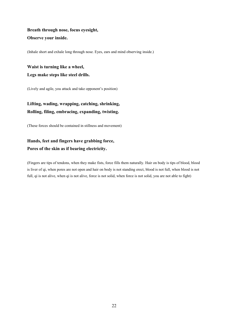#### **Breath through nose, focus eyesight, Observe your inside.**

(Inhale short and exhale long through nose. Eyes, ears and mind observing inside.)

**Waist is turning like a wheel, Legs make steps like steel drills.**

(Lively and agile, you attack and take opponent's position)

#### **Lifting, wading, wrapping, catching, shrinking, Rolling, filing, embracing, expanding, twisting.**

(These forces should be contained in stillness and movement)

#### **Hands, feet and fingers have grabbing force, Pores of the skin as if bearing electricity.**

(Fingers are tips of tendons, when they make fists, force fills them naturally. Hair on body is tips of blood, blood is liver of qi, when pores are not open and hair on body is not standing erect, blood is not full, when blood is not full, qi is not alive, when qi is not alive, force is not solid, when force is not solid, you are not able to fight)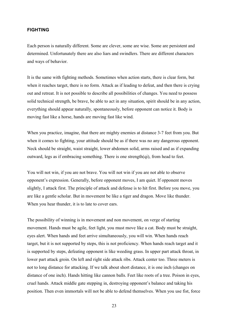#### **FIGHTING**

Each person is naturally different. Some are clever, some are wise. Some are persistent and determined. Unfortunately there are also liars and swindlers. There are different characters and ways of behavior.

It is the same with fighting methods. Sometimes when action starts, there is clear form, but when it reaches target, there is no form. Attack as if leading to defeat, and then there is crying out and retreat. It is not possible to describe all possibilities of changes. You need to possess solid technical strength, be brave, be able to act in any situation, spirit should be in any action, everything should appear naturally, spontaneously, before opponent can notice it. Body is moving fast like a horse, hands are moving fast like wind.

When you practice, imagine, that there are mighty enemies at distance 3-7 feet from you. But when it comes to fighting, your attitude should be as if there was no any dangerous opponent. Neck should be straight, waist straight, lower abdomen solid, arms raised and as if expanding outward, legs as if embracing something. There is one strength(qi), from head to feet.

You will not win, if you are not brave. You will not win if you are not able to observe opponent's expression. Generally, before opponent moves, I am quiet. If opponent moves slightly, I attack first. The principle of attack and defense is to hit first. Before you move, you are like a gentle scholar. But in movement be like a tiger and dragon. Move like thunder. When you hear thunder, it is to late to cover ears.

The possibility of winning is in movement and non movement, on verge of starting movement. Hands must be agile, feet light, you must move like a cat. Body must be straight, eyes alert. When hands and feet arrive simultaneously, you will win. When hands reach target, but it is not supported by steps, this is not proficiency. When hands reach target and it is supported by steps, defeating opponent is like weeding grass. In upper part attack throat, in lower part attack groin. On left and right side attack ribs. Attack center too. Three meters is not to long distance for attacking. If we talk about short distance, it is one inch (changes on distance of one inch). Hands hitting like cannon balls. Feet like roots of a tree. Poison in eyes, cruel hands. Attack middle gate stepping in, destroying opponent's balance and taking his position. Then even immortals will not be able to defend themselves. When you use fist, force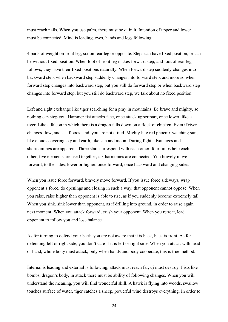must reach nails. When you use palm, there must be qi in it. Intention of upper and lower must be connected. Mind is leading, eyes, hands and legs following.

4 parts of weight on front leg, six on rear leg or opposite. Steps can have fixed position, or can be without fixed position. When foot of front leg makes forward step, and foot of rear leg follows, they have their fixed positions naturally. When forward step suddenly changes into backward step, when backward step suddenly changes into forward step, and more so when forward step changes into backward step, but you still do forward step or when backward step changes into forward step, but you still do backward step, we talk about no fixed position.

Left and right exchange like tiger searching for a pray in mountains. Be brave and mighty, so nothing can stop you. Hammer fist attacks face, once attack upper part, once lower, like a tiger. Like a falcon in which there is a dragon falls down on a flock of chicken. Even if river changes flow, and sea floods land, you are not afraid. Mighty like red phoenix watching sun, like clouds covering sky and earth, like sun and moon. During fight advantages and shortcomings are apparent. Three stars correspond with each other, four limbs help each other, five elements are used together, six harmonies are connected. You bravely move forward, to the sides, lower or higher, once forward, once backward and changing sides.

When you issue force forward, bravely move forward. If you issue force sideways, wrap opponent's force, do openings and closing in such a way, that opponent cannot oppose. When you raise, raise higher than opponent is able to rise, as if you suddenly become extremely tall. When you sink, sink lower than opponent, as if drilling into ground, in order to raise again next moment. When you attack forward, crush your opponent. When you retreat, lead opponent to follow you and lose balance.

As for turning to defend your back, you are not aware that it is back, back is front. As for defending left or right side, you don't care if it is left or right side. When you attack with head or hand, whole body must attack, only when hands and body cooperate, this is true method.

Internal is leading and external is following, attack must reach far, qi must destroy. Fists like bombs, dragon's body, in attack there must be ability of following changes. When you will understand the meaning, you will find wonderful skill. A hawk is flying into woods, swallow touches surface of water, tiger catches a sheep, powerful wind destroys everything. In order to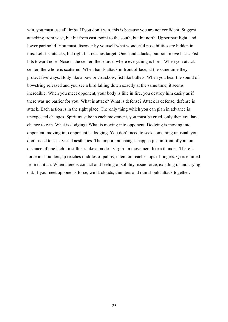win, you must use all limbs. If you don't win, this is because you are not confident. Suggest attacking from west, but hit from east, point to the south, but hit north. Upper part light, and lower part solid. You must discover by yourself what wonderful possibilities are hidden in this. Left fist attacks, but right fist reaches target. One hand attacks, but both move back. Fist hits toward nose. Nose is the center, the source, where everything is born. When you attack center, the whole is scattered. When hands attack in front of face, at the same time they protect five ways. Body like a bow or crossbow, fist like bullets. When you hear the sound of bowstring released and you see a bird falling down exactly at the same time, it seems incredible. When you meet opponent, your body is like in fire, you destroy him easily as if there was no barrier for you. What is attack? What is defense? Attack is defense, defense is attack. Each action is in the right place. The only thing which you can plan in advance is unexpected changes. Spirit must be in each movement, you must be cruel, only then you have chance to win. What is dodging? What is moving into opponent. Dodging is moving into opponent, moving into opponent is dodging. You don't need to seek something unusual, you don't need to seek visual aesthetics. The important changes happen just in front of you, on distance of one inch. In stillness like a modest virgin. In movement like a thunder. There is force in shoulders, qi reaches middles of palms, intention reaches tips of fingers. Qi is emitted from dantian. When there is contact and feeling of solidity, issue force, exhaling qi and crying out. If you meet opponents force, wind, clouds, thunders and rain should attack together.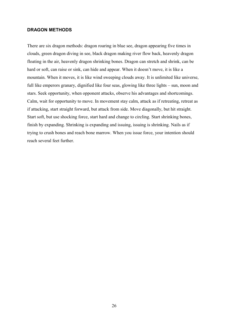#### **DRAGON METHODS**

There are six dragon methods: dragon roaring in blue see, dragon appearing five times in clouds, green dragon diving in see, black dragon making river flow back, heavenly dragon floating in the air, heavenly dragon shrinking bones. Dragon can stretch and shrink, can be hard or soft, can raise or sink, can hide and appear. When it doesn't move, it is like a mountain. When it moves, it is like wind sweeping clouds away. It is unlimited like universe, full like emperors granary, dignified like four seas, glowing like three lights – sun, moon and stars. Seek opportunity, when opponent attacks, observe his advantages and shortcomings. Calm, wait for opportunity to move. In movement stay calm, attack as if retreating, retreat as if attacking, start straight forward, but attack from side. Move diagonally, but hit straight. Start soft, but use shocking force, start hard and change to circling. Start shrinking bones, finish by expanding. Shrinking is expanding and issuing, issuing is shrinking. Nails as if trying to crush bones and reach bone marrow. When you issue force, your intention should reach several feet further.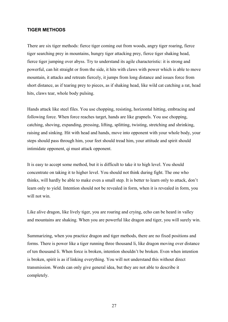#### **TIGER METHODS**

There are six tiger methods: fierce tiger coming out from woods, angry tiger roaring, fierce tiger searching prey in mountains, hungry tiger attacking prey, fierce tiger shaking head, fierce tiger jumping over abyss. Try to understand its agile characteristic: it is strong and powerful, can hit straight or from the side, it hits with claws with power which is able to move mountain, it attacks and retreats fiercely, it jumps from long distance and issues force from short distance, as if tearing prey to pieces, as if shaking head, like wild cat catching a rat, head hits, claws tear, whole body pulsing.

Hands attack like steel files. You use chopping, resisting, horizontal hitting, embracing and following force. When force reaches target, hands are like grapnels. You use chopping, catching, shoving, expanding, pressing, lifting, splitting, twisting, stretching and shrinking, raising and sinking. Hit with head and hands, move into opponent with your whole body, your steps should pass through him, your feet should tread him, your attitude and spirit should intimidate opponent, qi must attack opponent.

It is easy to accept some method, but it is difficult to take it to high level. You should concentrate on taking it to higher level. You should not think during fight. The one who thinks, will hardly be able to make even a small step. It is better to learn only to attack, don't learn only to yield. Intention should not be revealed in form, when it is revealed in form, you will not win.

Like alive dragon, like lively tiger, you are roaring and crying, echo can be heard in valley and mountains are shaking. When you are powerful like dragon and tiger, you will surely win.

Summarizing, when you practice dragon and tiger methods, there are no fixed positions and forms. There is power like a tiger running three thousand li, like dragon moving over distance of ten thousand li. When force is broken, intention shouldn't be broken. Even when intention is broken, spirit is as if linking everything. You will not understand this without direct transmission. Words can only give general idea, but they are not able to describe it completely.